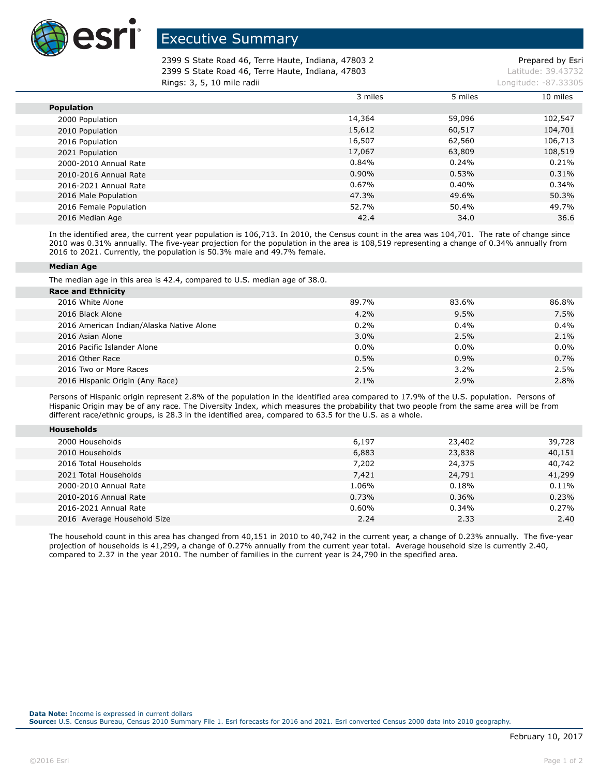

## Executive Summary

2399 S State Road 46, Terre Haute, Indiana, 47803 2 Prepared by Esri 2399 S State Road 46, Terre Haute, Indiana, 47803 Latitude: 39.43732 **Rings: 3, 5, 10 mile radii Longitude: -87.33305 Longitude: -87.33305** 

|                        | 3 miles  | 5 miles | 10 miles |
|------------------------|----------|---------|----------|
| <b>Population</b>      |          |         |          |
| 2000 Population        | 14,364   | 59,096  | 102,547  |
| 2010 Population        | 15,612   | 60,517  | 104,701  |
| 2016 Population        | 16,507   | 62,560  | 106,713  |
| 2021 Population        | 17,067   | 63,809  | 108,519  |
| 2000-2010 Annual Rate  | 0.84%    | 0.24%   | 0.21%    |
| 2010-2016 Annual Rate  | $0.90\%$ | 0.53%   | 0.31%    |
| 2016-2021 Annual Rate  | 0.67%    | 0.40%   | 0.34%    |
| 2016 Male Population   | 47.3%    | 49.6%   | 50.3%    |
| 2016 Female Population | 52.7%    | 50.4%   | 49.7%    |
| 2016 Median Age        | 42.4     | 34.0    | 36.6     |

In the identified area, the current year population is 106,713. In 2010, the Census count in the area was 104,701. The rate of change since 2010 was 0.31% annually. The five-year projection for the population in the area is 108,519 representing a change of 0.34% annually from 2016 to 2021. Currently, the population is 50.3% male and 49.7% female.

## **Median Age**

**Households**

The median age in this area is 42.4, compared to U.S. median age of 38.0.

| <b>Race and Ethnicity</b>                |         |         |         |
|------------------------------------------|---------|---------|---------|
| 2016 White Alone                         | 89.7%   | 83.6%   | 86.8%   |
| 2016 Black Alone                         | 4.2%    | 9.5%    | 7.5%    |
| 2016 American Indian/Alaska Native Alone | 0.2%    | 0.4%    | 0.4%    |
| 2016 Asian Alone                         | $3.0\%$ | 2.5%    | 2.1%    |
| 2016 Pacific Islander Alone              | $0.0\%$ | $0.0\%$ | $0.0\%$ |
| 2016 Other Race                          | 0.5%    | 0.9%    | 0.7%    |
| 2016 Two or More Races                   | 2.5%    | 3.2%    | 2.5%    |
| 2016 Hispanic Origin (Any Race)          | 2.1%    | 2.9%    | 2.8%    |

Persons of Hispanic origin represent 2.8% of the population in the identified area compared to 17.9% of the U.S. population. Persons of Hispanic Origin may be of any race. The Diversity Index, which measures the probability that two people from the same area will be from different race/ethnic groups, is 28.3 in the identified area, compared to 63.5 for the U.S. as a whole.

| NUUSEIIUIUS                 |       |        |        |
|-----------------------------|-------|--------|--------|
| 2000 Households             | 6,197 | 23,402 | 39,728 |
| 2010 Households             | 6,883 | 23,838 | 40,151 |
| 2016 Total Households       | 7,202 | 24,375 | 40,742 |
| 2021 Total Households       | 7,421 | 24,791 | 41,299 |
| 2000-2010 Annual Rate       | 1.06% | 0.18%  | 0.11%  |
| 2010-2016 Annual Rate       | 0.73% | 0.36%  | 0.23%  |
| 2016-2021 Annual Rate       | 0.60% | 0.34%  | 0.27%  |
| 2016 Average Household Size | 2.24  | 2.33   | 2.40   |
|                             |       |        |        |

The household count in this area has changed from 40,151 in 2010 to 40,742 in the current year, a change of 0.23% annually. The five-year projection of households is 41,299, a change of 0.27% annually from the current year total. Average household size is currently 2.40, compared to 2.37 in the year 2010. The number of families in the current year is 24,790 in the specified area.

**Source:** U.S. Census Bureau, Census 2010 Summary File 1. Esri forecasts for 2016 and 2021. Esri converted Census 2000 data into 2010 geography.